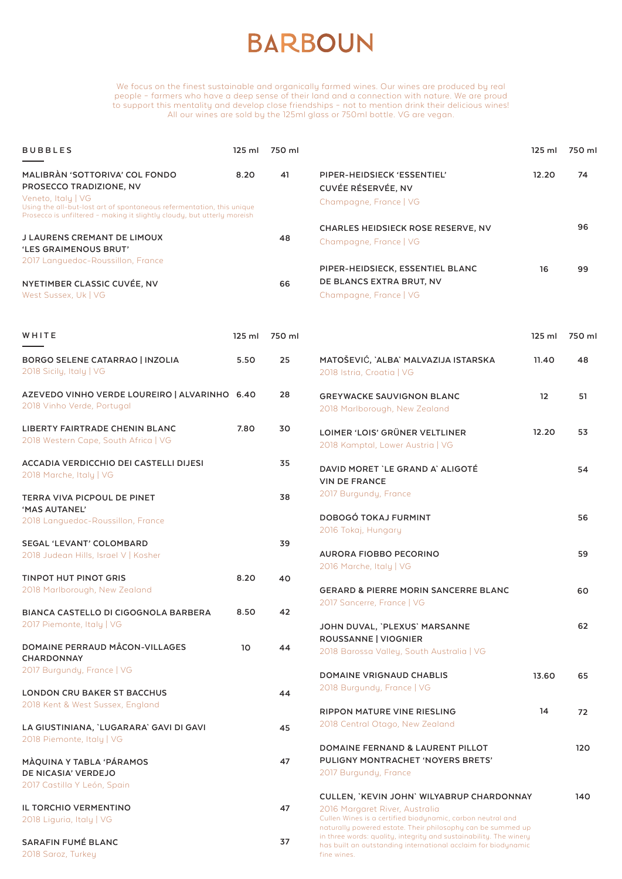## **BARBOUN**

We focus on the finest sustainable and organically farmed wines. Our wines are produced by real people – farmers who have a deep sense of their land and a connection with nature. We are proud to support this mentality and develop close friendships – not to mention drink their delicious wines! All our wines are sold by the 125ml glass or 750ml bottle. VG are vegan.

| <b>BUBBLES</b>                                                                                                                                   | $125$ ml | 750 ml |                                                                                                                                                                                                                  | $125$ ml | 750 ml |
|--------------------------------------------------------------------------------------------------------------------------------------------------|----------|--------|------------------------------------------------------------------------------------------------------------------------------------------------------------------------------------------------------------------|----------|--------|
| MALIBRAN 'SOTTORIVA' COL FONDO<br>PROSECCO TRADIZIONE, NV<br>Veneto, Italy   VG                                                                  | 8.20     | 41     | PIPER-HEIDSIECK 'ESSENTIEL'<br>CUVÉE RÉSERVÉE, NV                                                                                                                                                                | 12.20    | 74     |
| Using the all-but-lost art of spontaneous refermentation, this unique<br>Prosecco is unfiltered - making it slightly cloudy, but utterly moreish |          |        | Champagne, France   VG                                                                                                                                                                                           |          |        |
| J LAURENS CREMANT DE LIMOUX                                                                                                                      |          | 48     | <b>CHARLES HEIDSIECK ROSE RESERVE, NV</b><br>Champagne, France   VG                                                                                                                                              |          | 96     |
| 'LES GRAIMENOUS BRUT'<br>2017 Languedoc-Roussillon, France                                                                                       |          |        |                                                                                                                                                                                                                  |          |        |
|                                                                                                                                                  |          |        | PIPER-HEIDSIECK, ESSENTIEL BLANC                                                                                                                                                                                 | 16       | 99     |
| NYETIMBER CLASSIC CUVÉE, NV<br>West Sussex, Uk   VG                                                                                              |          | 66     | DE BLANCS EXTRA BRUT, NV<br>Champagne, France   VG                                                                                                                                                               |          |        |
| WHITE                                                                                                                                            | $125$ ml | 750 ml |                                                                                                                                                                                                                  | $125$ ml | 750 ml |
| <b>BORGO SELENE CATARRAO   INZOLIA</b><br>2018 Sicily, Italy   VG                                                                                | 5.50     | 25     | MATOŠEVIĆ, `ALBA` MALVAZIJA ISTARSKA<br>2018 Istria, Croatia   VG                                                                                                                                                | 11.40    | 48     |
| AZEVEDO VINHO VERDE LOUREIRO   ALVARINHO 6.40<br>2018 Vinho Verde, Portugal                                                                      |          | 28     | <b>GREYWACKE SAUVIGNON BLANC</b><br>2018 Marlborough, New Zealand                                                                                                                                                | 12       | 51     |
| LIBERTY FAIRTRADE CHENIN BLANC                                                                                                                   | 7.80     | 30     | LOIMER 'LOIS' GRÜNER VELTLINER                                                                                                                                                                                   | 12.20    | 53     |
| 2018 Western Cape, South Africa   VG                                                                                                             |          |        | 2018 Kamptal, Lower Austria   VG                                                                                                                                                                                 |          |        |
| ACCADIA VERDICCHIO DEI CASTELLI DIJESI<br>2018 Marche, Italy   VG                                                                                |          | 35     | DAVID MORET `LE GRAND A` ALIGOTÉ<br><b>VIN DE FRANCE</b>                                                                                                                                                         |          | 54     |
| TERRA VIVA PICPOUL DE PINET<br>'MAS AUTANEL'                                                                                                     |          | 38     | 2017 Burgundy, France                                                                                                                                                                                            |          |        |
| 2018 Languedoc-Roussillon, France                                                                                                                |          |        | DOBOGÓ TOKAJ FURMINT<br>2016 Tokaj, Hungary                                                                                                                                                                      |          | 56     |
| <b>SEGAL 'LEVANT' COLOMBARD</b>                                                                                                                  |          | 39     |                                                                                                                                                                                                                  |          |        |
| 2018 Judean Hills, Israel V   Kosher                                                                                                             |          |        | <b>AURORA FIOBBO PECORINO</b><br>2016 Marche, Italy   VG                                                                                                                                                         |          | 59     |
| <b>TINPOT HUT PINOT GRIS</b>                                                                                                                     | 8.20     | 40     |                                                                                                                                                                                                                  |          |        |
| 2018 Marlborough, New Zealand                                                                                                                    |          |        | <b>GERARD &amp; PIERRE MORIN SANCERRE BLANC</b>                                                                                                                                                                  |          | 60     |
| BIANCA CASTELLO DI CIGOGNOLA BARBERA                                                                                                             | 8.50     | 42     | 2017 Sancerre, France   VG                                                                                                                                                                                       |          |        |
| 2017 Piemonte, Italy   VG                                                                                                                        |          |        | JOHN DUVAL, `PLEXUS` MARSANNE<br>ROUSSANNE   VIOGNIER                                                                                                                                                            |          | 62     |
| <b>DOMAINE PERRAUD MÂCON-VILLAGES</b><br><b>CHARDONNAY</b>                                                                                       | 10       | 44     | 2018 Barossa Valley, South Australia   VG                                                                                                                                                                        |          |        |
| 2017 Burgundy, France   VG                                                                                                                       |          |        | <b>DOMAINE VRIGNAUD CHABLIS</b>                                                                                                                                                                                  | 13.60    | 65     |
| <b>LONDON CRU BAKER ST BACCHUS</b>                                                                                                               |          | 44     | 2018 Burgundy, France   VG                                                                                                                                                                                       |          |        |
| 2018 Kent & West Sussex, England                                                                                                                 |          |        | RIPPON MATURE VINE RIESLING                                                                                                                                                                                      | 14       | 72     |
| LA GIUSTINIANA, 'LUGARARA' GAVI DI GAVI<br>2018 Piemonte, Italy   VG                                                                             |          | 45     | 2018 Central Otago, New Zealand                                                                                                                                                                                  |          |        |
| MÀQUINA Y TABLA 'PÁRAMOS<br>DE NICASIA' VERDEJO                                                                                                  |          | 47     | DOMAINE FERNAND & LAURENT PILLOT<br>PULIGNY MONTRACHET 'NOYERS BRETS'<br>2017 Burgundy, France                                                                                                                   |          | 120    |
| 2017 Castilla Y León, Spain                                                                                                                      |          |        |                                                                                                                                                                                                                  |          |        |
| IL TORCHIO VERMENTINO<br>2018 Liguria, Italy   VG                                                                                                |          | 47     | CULLEN, `KEVIN JOHN` WILYABRUP CHARDONNAY<br>2016 Margaret River, Australia<br>Cullen Wines is a certified biodynamic, carbon neutral and                                                                        |          | 140    |
| SARAFIN FUMÉ BLANC<br>2018 Saroz, Turkey                                                                                                         |          | 37     | naturally powered estate. Their philosophy can be summed up<br>in three words: quality, integrity and sustainability. The winery<br>has built an outstanding international acclaim for biodynamic<br>fine wines. |          |        |